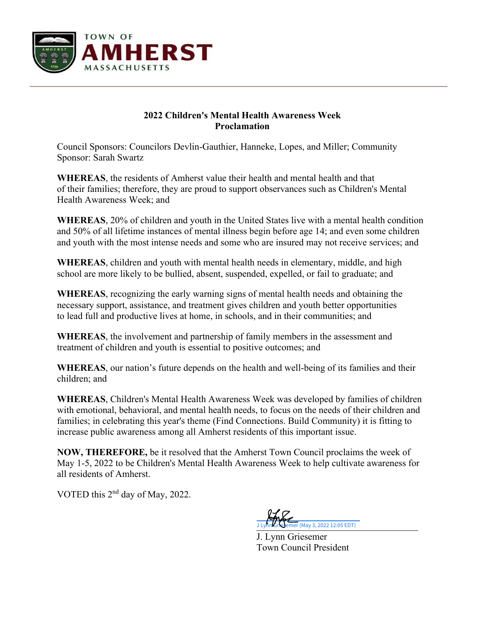

## **2022 Children's Mental Health Awareness Week Proclamation**

Council Sponsors: Councilors Devlin-Gauthier, Hanneke, Lopes, and Miller; Community Sponsor: Sarah Swartz

**WHEREAS**, the residents of Amherst value their health and mental health and that of their families; therefore, they are proud to support observances such as Children's Mental Health Awareness Week; and

**WHEREAS**, 20% of children and youth in the United States live with a mental health condition and 50% of all lifetime instances of mental illness begin before age 14; and even some children and youth with the most intense needs and some who are insured may not receive services; and

**WHEREAS**, children and youth with mental health needs in elementary, middle, and high school are more likely to be bullied, absent, suspended, expelled, or fail to graduate; and

**WHEREAS**, recognizing the early warning signs of mental health needs and obtaining the necessary support, assistance, and treatment gives children and youth better opportunities to lead full and productive lives at home, in schools, and in their communities; and

**WHEREAS**, the involvement and partnership of family members in the assessment and treatment of children and youth is essential to positive outcomes; and

**WHEREAS**, our nation's future depends on the health and well-being of its families and their children; and

**WHEREAS**, Children's Mental Health Awareness Week was developed by families of children with emotional, behavioral, and mental health needs, to focus on the needs of their children and families; in celebrating this year's theme (Find Connections. Build Community) it is fitting to increase public awareness among all Amherst residents of this important issue.

**NOW, THEREFORE,** be it resolved that the Amherst Town Council proclaims the week of May 1-5, 2022 to be Children's Mental Health Awareness Week to help cultivate awareness for all residents of Amherst.

VOTED this 2nd day of May, 2022.

J Lynn Griesemer (May 3, 2022 12:05 EDT)

J. Lynn Griesemer Town Council President